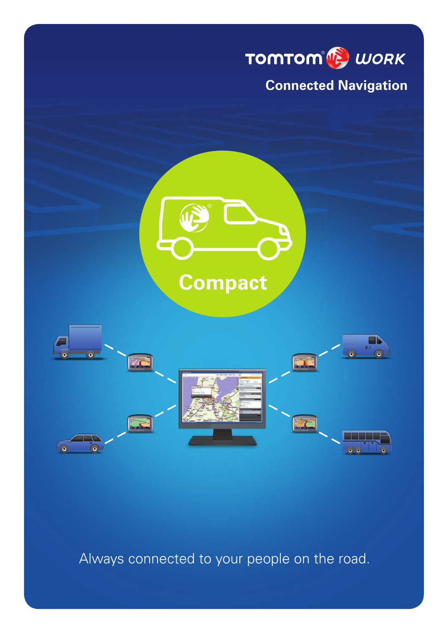

Always connected to your people on the road.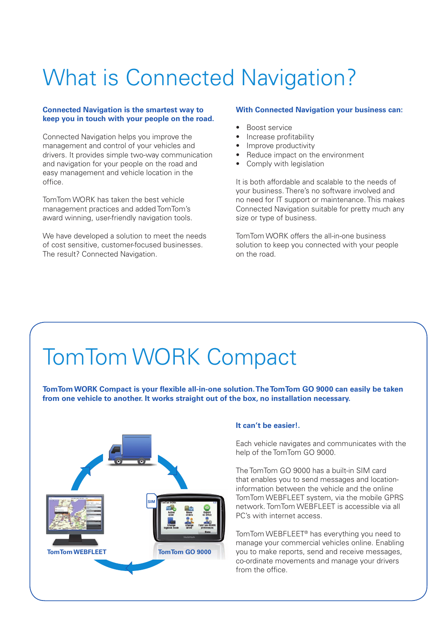## What is Connected Navigation?

#### **Connected Navigation is the smartest way to keep you in touch with your people on the road.**

Connected Navigation helps you improve the management and control of your vehicles and drivers. It provides simple two-way communication and navigation for your people on the road and easy management and vehicle location in the office.

TomTom WORK has taken the best vehicle management practices and added TomTom's award winning, user-friendly navigation tools.

We have developed a solution to meet the needs of cost sensitive, customer-focused businesses. The result? Connected Navigation.

#### **With Connected Navigation your business can:**

- Boost service
- Increase profitability
- Improve productivity
- Reduce impact on the environment
- Comply with legislation

It is both affordable and scalable to the needs of your business. There's no software involved and no need for IT support or maintenance. This makes Connected Navigation suitable for pretty much any size or type of business.

TomTom WORK offers the all-in-one business solution to keep you connected with your people on the road.

## TomTom WORK Compact

**TomTom WORK Compact is your flexible all-in-one solution. The TomTom GO 9000 can easily be taken from one vehicle to another. It works straight out of the box, no installation necessary.** 



#### **It can't be easier!.**

Each vehicle navigates and communicates with the help of the TomTom GO 9000.

The TomTom GO 9000 has a built-in SIM card that enables you to send messages and locationinformation between the vehicle and the online TomTom WEBFLEET system, via the mobile GPRS network. TomTom WEBFLEET is accessible via all PC's with internet access.

TomTom WEBFLEET® has everything you need to manage your commercial vehicles online. Enabling you to make reports, send and receive messages, co-ordinate movements and manage your drivers from the office.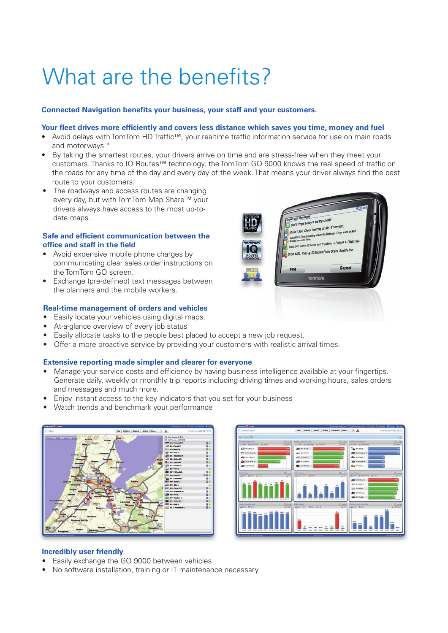# What are the benefits?

#### **Connected Navigation benefits your business, your staff and your customers.**

#### **Your fleet drives more efficiently and covers less distance which saves you time, money and fuel**

- • Avoid delays with TomTom HD Traffic™, your realtime traffic information service for use on main roads and motorways.\*
- By taking the smartest routes, your drivers arrive on time and are stress-free when they meet your customers. Thanks to IQ Routes™ technology, the TomTom GO 9000 knows the real speed of traffic on the roads for any time of the day and every day of the week. That means your driver always find the best route to your customers.
- The roadways and access routes are changing every day, but with TomTom Map Share™ your drivers always have access to the most up-todate maps.

#### **Safe and efficient communication between the office and staff in the field**

- Avoid expensive mobile phone charges by communicating clear sales order instructions on the TomTom GO screen.
- Exchange (pre-defined) text messages between the planners and the mobile workers.

#### **Real-time management of orders and vehicles**

- Easily locate your vehicles using digital maps.
- At-a-glance overview of every job status
- Easily allocate tasks to the people best placed to accept a new job request.
- Offer a more proactive service by providing your customers with realistic arrival times.

#### **Extensive reporting made simpler and clearer for everyone**

- Manage your service costs and efficiency by having business intelligence available at your fingertips. Generate daily, weekly or monthly trip reports including driving times and working hours, sales orders and messages and much more.
- Enjoy instant access to the key indicators that you set for your business
- Watch trends and benchmark your performance





#### **Incredibly user friendly**

- Easily exchange the GO 9000 between vehicles
- No software installation, training or IT maintenance necessary